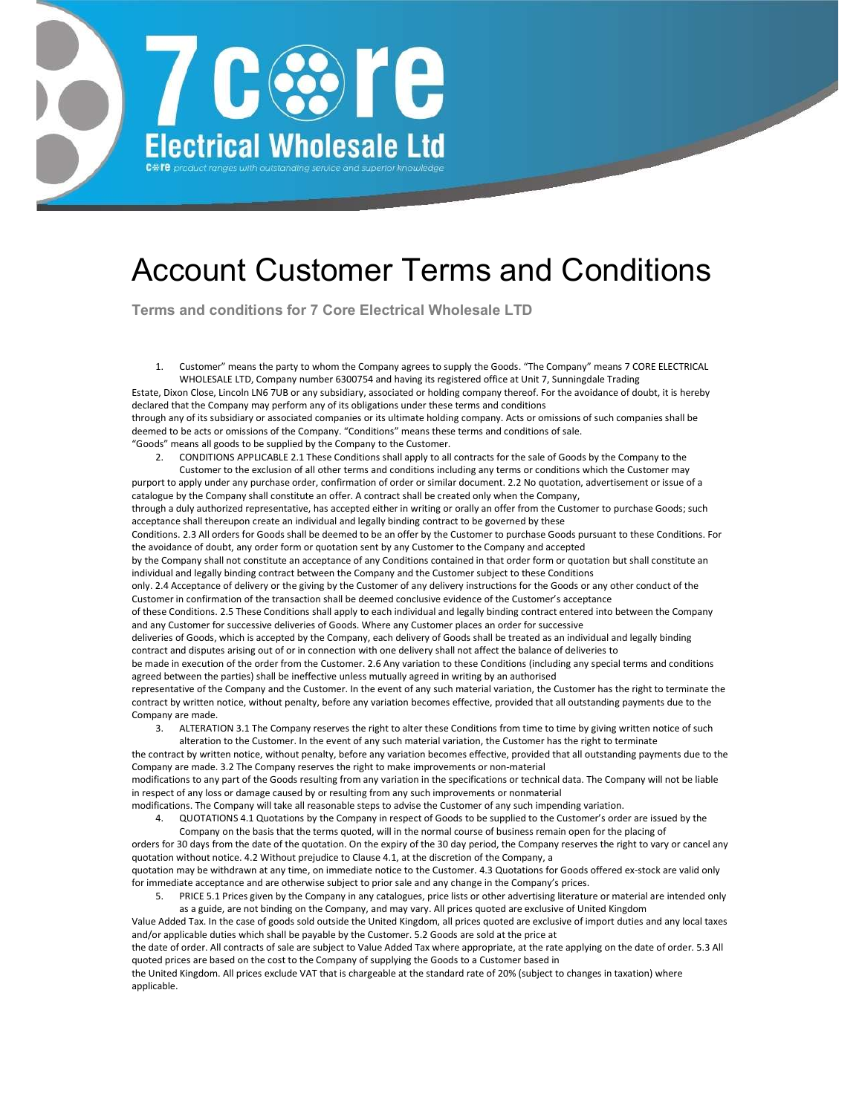

## Account Customer Terms and Conditions

Terms and conditions for 7 Core Electrical Wholesale LTD

1. Customer" means the party to whom the Company agrees to supply the Goods. "The Company" means 7 CORE ELECTRICAL WHOLESALE LTD, Company number 6300754 and having its registered office at Unit 7, Sunningdale Trading Estate, Dixon Close, Lincoln LN6 7UB or any subsidiary, associated or holding company thereof. For the avoidance of doubt, it is hereby declared that the Company may perform any of its obligations under these terms and conditions through any of its subsidiary or associated companies or its ultimate holding company. Acts or omissions of such companies shall be deemed to be acts or omissions of the Company. "Conditions" means these terms and conditions of sale. "Goods" means all goods to be supplied by the Company to the Customer.

2. CONDITIONS APPLICABLE 2.1 These Conditions shall apply to all contracts for the sale of Goods by the Company to the

Customer to the exclusion of all other terms and conditions including any terms or conditions which the Customer may purport to apply under any purchase order, confirmation of order or similar document. 2.2 No quotation, advertisement or issue of a catalogue by the Company shall constitute an offer. A contract shall be created only when the Company, through a duly authorized representative, has accepted either in writing or orally an offer from the Customer to purchase Goods; such acceptance shall thereupon create an individual and legally binding contract to be governed by these Conditions. 2.3 All orders for Goods shall be deemed to be an offer by the Customer to purchase Goods pursuant to these Conditions. For the avoidance of doubt, any order form or quotation sent by any Customer to the Company and accepted by the Company shall not constitute an acceptance of any Conditions contained in that order form or quotation but shall constitute an individual and legally binding contract between the Company and the Customer subject to these Conditions only. 2.4 Acceptance of delivery or the giving by the Customer of any delivery instructions for the Goods or any other conduct of the Customer in confirmation of the transaction shall be deemed conclusive evidence of the Customer's acceptance of these Conditions. 2.5 These Conditions shall apply to each individual and legally binding contract entered into between the Company and any Customer for successive deliveries of Goods. Where any Customer places an order for successive deliveries of Goods, which is accepted by the Company, each delivery of Goods shall be treated as an individual and legally binding contract and disputes arising out of or in connection with one delivery shall not affect the balance of deliveries to be made in execution of the order from the Customer. 2.6 Any variation to these Conditions (including any special terms and conditions agreed between the parties) shall be ineffective unless mutually agreed in writing by an authorised representative of the Company and the Customer. In the event of any such material variation, the Customer has the right to terminate the contract by written notice, without penalty, before any variation becomes effective, provided that all outstanding payments due to the Company are made.

3. ALTERATION 3.1 The Company reserves the right to alter these Conditions from time to time by giving written notice of such

alteration to the Customer. In the event of any such material variation, the Customer has the right to terminate the contract by written notice, without penalty, before any variation becomes effective, provided that all outstanding payments due to the Company are made. 3.2 The Company reserves the right to make improvements or non-material modifications to any part of the Goods resulting from any variation in the specifications or technical data. The Company will not be liable in respect of any loss or damage caused by or resulting from any such improvements or nonmaterial modifications. The Company will take all reasonable steps to advise the Customer of any such impending variation.

- 4. QUOTATIONS 4.1 Quotations by the Company in respect of Goods to be supplied to the Customer's order are issued by the
	- Company on the basis that the terms quoted, will in the normal course of business remain open for the placing of

orders for 30 days from the date of the quotation. On the expiry of the 30 day period, the Company reserves the right to vary or cancel any quotation without notice. 4.2 Without prejudice to Clause 4.1, at the discretion of the Company, a quotation may be withdrawn at any time, on immediate notice to the Customer. 4.3 Quotations for Goods offered ex-stock are valid only for immediate acceptance and are otherwise subject to prior sale and any change in the Company's prices.

5. PRICE 5.1 Prices given by the Company in any catalogues, price lists or other advertising literature or material are intended only

as a guide, are not binding on the Company, and may vary. All prices quoted are exclusive of United Kingdom Value Added Tax. In the case of goods sold outside the United Kingdom, all prices quoted are exclusive of import duties and any local taxes and/or applicable duties which shall be payable by the Customer. 5.2 Goods are sold at the price at

the date of order. All contracts of sale are subject to Value Added Tax where appropriate, at the rate applying on the date of order. 5.3 All quoted prices are based on the cost to the Company of supplying the Goods to a Customer based in

the United Kingdom. All prices exclude VAT that is chargeable at the standard rate of 20% (subject to changes in taxation) where applicable.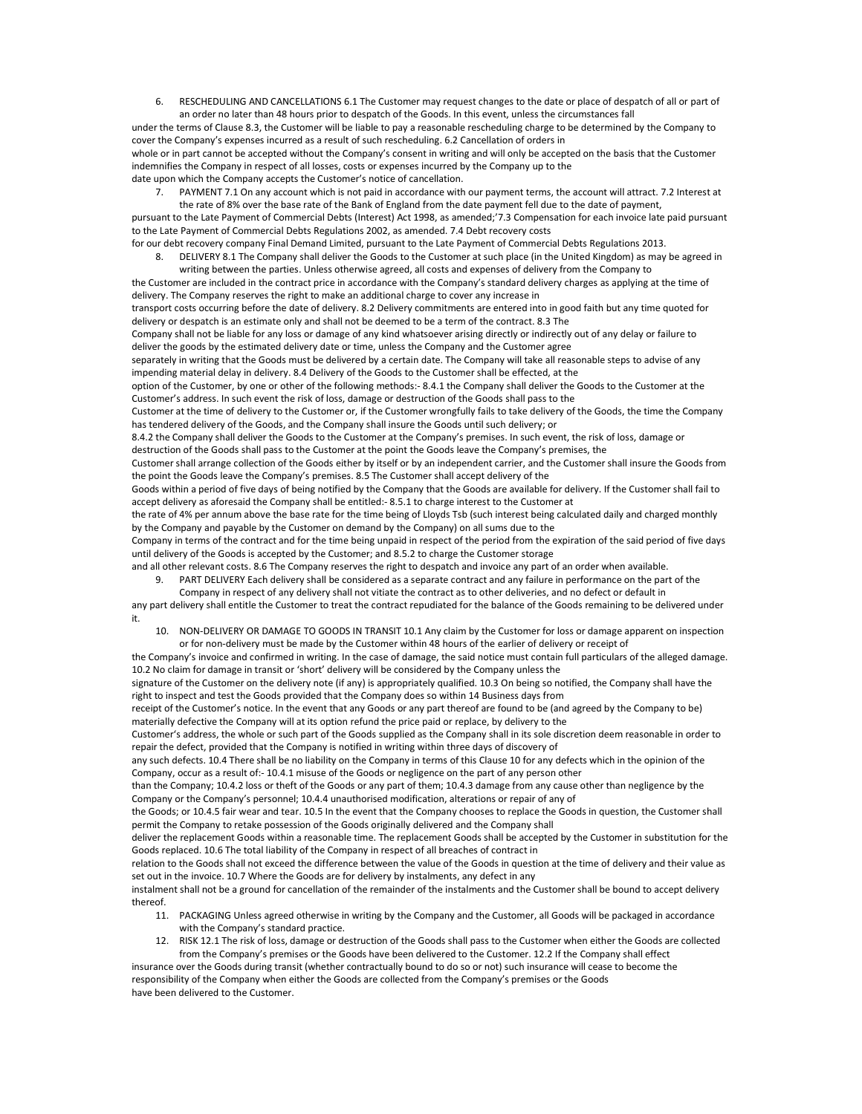6. RESCHEDULING AND CANCELLATIONS 6.1 The Customer may request changes to the date or place of despatch of all or part of an order no later than 48 hours prior to despatch of the Goods. In this event, unless the circumstances fall

under the terms of Clause 8.3, the Customer will be liable to pay a reasonable rescheduling charge to be determined by the Company to cover the Company's expenses incurred as a result of such rescheduling. 6.2 Cancellation of orders in whole or in part cannot be accepted without the Company's consent in writing and will only be accepted on the basis that the Customer indemnifies the Company in respect of all losses, costs or expenses incurred by the Company up to the date upon which the Company accepts the Customer's notice of cancellation.

7. PAYMENT 7.1 On any account which is not paid in accordance with our payment terms, the account will attract. 7.2 Interest at

the rate of 8% over the base rate of the Bank of England from the date payment fell due to the date of payment, pursuant to the Late Payment of Commercial Debts (Interest) Act 1998, as amended;'7.3 Compensation for each invoice late paid pursuant to the Late Payment of Commercial Debts Regulations 2002, as amended. 7.4 Debt recovery costs for our debt recovery company Final Demand Limited, pursuant to the Late Payment of Commercial Debts Regulations 2013.

8. DELIVERY 8.1 The Company shall deliver the Goods to the Customer at such place (in the United Kingdom) as may be agreed in writing between the parties. Unless otherwise agreed, all costs and expenses of delivery from the Company to

the Customer are included in the contract price in accordance with the Company's standard delivery charges as applying at the time of delivery. The Company reserves the right to make an additional charge to cover any increase in transport costs occurring before the date of delivery. 8.2 Delivery commitments are entered into in good faith but any time quoted for delivery or despatch is an estimate only and shall not be deemed to be a term of the contract. 8.3 The Company shall not be liable for any loss or damage of any kind whatsoever arising directly or indirectly out of any delay or failure to deliver the goods by the estimated delivery date or time, unless the Company and the Customer agree separately in writing that the Goods must be delivered by a certain date. The Company will take all reasonable steps to advise of any impending material delay in delivery. 8.4 Delivery of the Goods to the Customer shall be effected, at the option of the Customer, by one or other of the following methods:- 8.4.1 the Company shall deliver the Goods to the Customer at the Customer's address. In such event the risk of loss, damage or destruction of the Goods shall pass to the Customer at the time of delivery to the Customer or, if the Customer wrongfully fails to take delivery of the Goods, the time the Company has tendered delivery of the Goods, and the Company shall insure the Goods until such delivery; or 8.4.2 the Company shall deliver the Goods to the Customer at the Company's premises. In such event, the risk of loss, damage or destruction of the Goods shall pass to the Customer at the point the Goods leave the Company's premises, the Customer shall arrange collection of the Goods either by itself or by an independent carrier, and the Customer shall insure the Goods from the point the Goods leave the Company's premises. 8.5 The Customer shall accept delivery of the Goods within a period of five days of being notified by the Company that the Goods are available for delivery. If the Customer shall fail to accept delivery as aforesaid the Company shall be entitled:- 8.5.1 to charge interest to the Customer at the rate of 4% per annum above the base rate for the time being of Lloyds Tsb (such interest being calculated daily and charged monthly by the Company and payable by the Customer on demand by the Company) on all sums due to the Company in terms of the contract and for the time being unpaid in respect of the period from the expiration of the said period of five days until delivery of the Goods is accepted by the Customer; and 8.5.2 to charge the Customer storage and all other relevant costs. 8.6 The Company reserves the right to despatch and invoice any part of an order when available.

- 9. PART DELIVERY Each delivery shall be considered as a separate contract and any failure in performance on the part of the
- Company in respect of any delivery shall not vitiate the contract as to other deliveries, and no defect or default in

any part delivery shall entitle the Customer to treat the contract repudiated for the balance of the Goods remaining to be delivered under it.

10. NON-DELIVERY OR DAMAGE TO GOODS IN TRANSIT 10.1 Any claim by the Customer for loss or damage apparent on inspection or for non-delivery must be made by the Customer within 48 hours of the earlier of delivery or receipt of

the Company's invoice and confirmed in writing. In the case of damage, the said notice must contain full particulars of the alleged damage. 10.2 No claim for damage in transit or 'short' delivery will be considered by the Company unless the

signature of the Customer on the delivery note (if any) is appropriately qualified. 10.3 On being so notified, the Company shall have the right to inspect and test the Goods provided that the Company does so within 14 Business days from

receipt of the Customer's notice. In the event that any Goods or any part thereof are found to be (and agreed by the Company to be) materially defective the Company will at its option refund the price paid or replace, by delivery to the

Customer's address, the whole or such part of the Goods supplied as the Company shall in its sole discretion deem reasonable in order to repair the defect, provided that the Company is notified in writing within three days of discovery of

any such defects. 10.4 There shall be no liability on the Company in terms of this Clause 10 for any defects which in the opinion of the Company, occur as a result of:- 10.4.1 misuse of the Goods or negligence on the part of any person other

than the Company; 10.4.2 loss or theft of the Goods or any part of them; 10.4.3 damage from any cause other than negligence by the Company or the Company's personnel; 10.4.4 unauthorised modification, alterations or repair of any of

the Goods; or 10.4.5 fair wear and tear. 10.5 In the event that the Company chooses to replace the Goods in question, the Customer shall permit the Company to retake possession of the Goods originally delivered and the Company shall

deliver the replacement Goods within a reasonable time. The replacement Goods shall be accepted by the Customer in substitution for the Goods replaced. 10.6 The total liability of the Company in respect of all breaches of contract in

relation to the Goods shall not exceed the difference between the value of the Goods in question at the time of delivery and their value as set out in the invoice. 10.7 Where the Goods are for delivery by instalments, any defect in any

instalment shall not be a ground for cancellation of the remainder of the instalments and the Customer shall be bound to accept delivery thereof.

- 11. PACKAGING Unless agreed otherwise in writing by the Company and the Customer, all Goods will be packaged in accordance with the Company's standard practice.
- 12. RISK 12.1 The risk of loss, damage or destruction of the Goods shall pass to the Customer when either the Goods are collected from the Company's premises or the Goods have been delivered to the Customer. 12.2 If the Company shall effect

insurance over the Goods during transit (whether contractually bound to do so or not) such insurance will cease to become the responsibility of the Company when either the Goods are collected from the Company's premises or the Goods have been delivered to the Customer.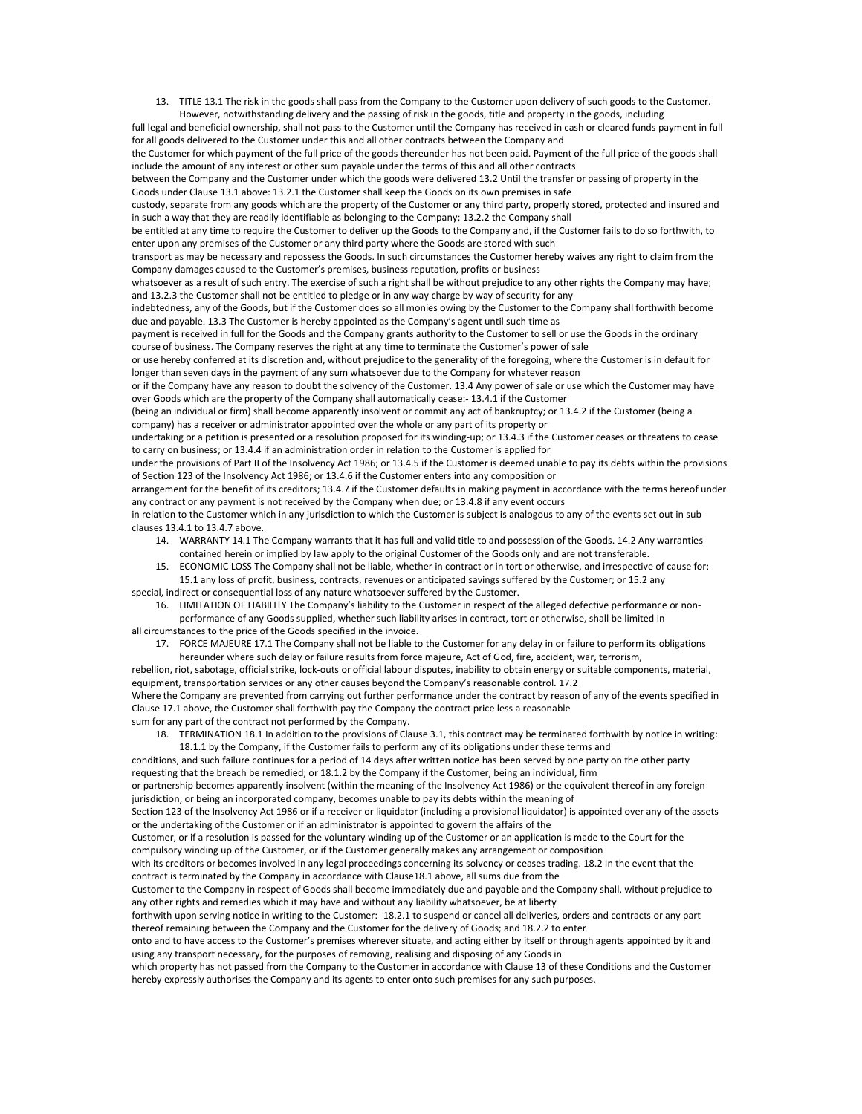13. TITLE 13.1 The risk in the goods shall pass from the Company to the Customer upon delivery of such goods to the Customer. However, notwithstanding delivery and the passing of risk in the goods, title and property in the goods, including

full legal and beneficial ownership, shall not pass to the Customer until the Company has received in cash or cleared funds payment in full for all goods delivered to the Customer under this and all other contracts between the Company and

the Customer for which payment of the full price of the goods thereunder has not been paid. Payment of the full price of the goods shall include the amount of any interest or other sum payable under the terms of this and all other contracts

between the Company and the Customer under which the goods were delivered 13.2 Until the transfer or passing of property in the Goods under Clause 13.1 above: 13.2.1 the Customer shall keep the Goods on its own premises in safe

custody, separate from any goods which are the property of the Customer or any third party, properly stored, protected and insured and in such a way that they are readily identifiable as belonging to the Company; 13.2.2 the Company shall

be entitled at any time to require the Customer to deliver up the Goods to the Company and, if the Customer fails to do so forthwith, to enter upon any premises of the Customer or any third party where the Goods are stored with such

transport as may be necessary and repossess the Goods. In such circumstances the Customer hereby waives any right to claim from the Company damages caused to the Customer's premises, business reputation, profits or business

whatsoever as a result of such entry. The exercise of such a right shall be without prejudice to any other rights the Company may have; and 13.2.3 the Customer shall not be entitled to pledge or in any way charge by way of security for any

indebtedness, any of the Goods, but if the Customer does so all monies owing by the Customer to the Company shall forthwith become due and payable. 13.3 The Customer is hereby appointed as the Company's agent until such time as

payment is received in full for the Goods and the Company grants authority to the Customer to sell or use the Goods in the ordinary course of business. The Company reserves the right at any time to terminate the Customer's power of sale

or use hereby conferred at its discretion and, without prejudice to the generality of the foregoing, where the Customer is in default for longer than seven days in the payment of any sum whatsoever due to the Company for whatever reason

or if the Company have any reason to doubt the solvency of the Customer. 13.4 Any power of sale or use which the Customer may have over Goods which are the property of the Company shall automatically cease:- 13.4.1 if the Customer

(being an individual or firm) shall become apparently insolvent or commit any act of bankruptcy; or 13.4.2 if the Customer (being a company) has a receiver or administrator appointed over the whole or any part of its property or

undertaking or a petition is presented or a resolution proposed for its winding-up; or 13.4.3 if the Customer ceases or threatens to cease to carry on business; or 13.4.4 if an administration order in relation to the Customer is applied for

under the provisions of Part II of the Insolvency Act 1986; or 13.4.5 if the Customer is deemed unable to pay its debts within the provisions of Section 123 of the Insolvency Act 1986; or 13.4.6 if the Customer enters into any composition or

arrangement for the benefit of its creditors; 13.4.7 if the Customer defaults in making payment in accordance with the terms hereof under any contract or any payment is not received by the Company when due; or 13.4.8 if any event occurs

in relation to the Customer which in any jurisdiction to which the Customer is subject is analogous to any of the events set out in subclauses 13.4.1 to 13.4.7 above.

- 14. WARRANTY 14.1 The Company warrants that it has full and valid title to and possession of the Goods. 14.2 Any warranties contained herein or implied by law apply to the original Customer of the Goods only and are not transferable.
- 15. ECONOMIC LOSS The Company shall not be liable, whether in contract or in tort or otherwise, and irrespective of cause for: 15.1 any loss of profit, business, contracts, revenues or anticipated savings suffered by the Customer; or 15.2 any special, indirect or consequential loss of any nature whatsoever suffered by the Customer.
	- 16. LIMITATION OF LIABILITY The Company's liability to the Customer in respect of the alleged defective performance or non-

performance of any Goods supplied, whether such liability arises in contract, tort or otherwise, shall be limited in all circumstances to the price of the Goods specified in the invoice.

17. FORCE MAJEURE 17.1 The Company shall not be liable to the Customer for any delay in or failure to perform its obligations hereunder where such delay or failure results from force majeure, Act of God, fire, accident, war, terrorism,

rebellion, riot, sabotage, official strike, lock-outs or official labour disputes, inability to obtain energy or suitable components, material, equipment, transportation services or any other causes beyond the Company's reasonable control. 17.2 Where the Company are prevented from carrying out further performance under the contract by reason of any of the events specified in Clause 17.1 above, the Customer shall forthwith pay the Company the contract price less a reasonable sum for any part of the contract not performed by the Company.

18. TERMINATION 18.1 In addition to the provisions of Clause 3.1, this contract may be terminated forthwith by notice in writing: 18.1.1 by the Company, if the Customer fails to perform any of its obligations under these terms and

conditions, and such failure continues for a period of 14 days after written notice has been served by one party on the other party requesting that the breach be remedied; or 18.1.2 by the Company if the Customer, being an individual, firm

or partnership becomes apparently insolvent (within the meaning of the Insolvency Act 1986) or the equivalent thereof in any foreign jurisdiction, or being an incorporated company, becomes unable to pay its debts within the meaning of

Section 123 of the Insolvency Act 1986 or if a receiver or liquidator (including a provisional liquidator) is appointed over any of the assets or the undertaking of the Customer or if an administrator is appointed to govern the affairs of the

Customer, or if a resolution is passed for the voluntary winding up of the Customer or an application is made to the Court for the

compulsory winding up of the Customer, or if the Customer generally makes any arrangement or composition

with its creditors or becomes involved in any legal proceedings concerning its solvency or ceases trading. 18.2 In the event that the contract is terminated by the Company in accordance with Clause18.1 above, all sums due from the

Customer to the Company in respect of Goods shall become immediately due and payable and the Company shall, without prejudice to any other rights and remedies which it may have and without any liability whatsoever, be at liberty

forthwith upon serving notice in writing to the Customer:- 18.2.1 to suspend or cancel all deliveries, orders and contracts or any part thereof remaining between the Company and the Customer for the delivery of Goods; and 18.2.2 to enter

onto and to have access to the Customer's premises wherever situate, and acting either by itself or through agents appointed by it and using any transport necessary, for the purposes of removing, realising and disposing of any Goods in

which property has not passed from the Company to the Customer in accordance with Clause 13 of these Conditions and the Customer hereby expressly authorises the Company and its agents to enter onto such premises for any such purposes.